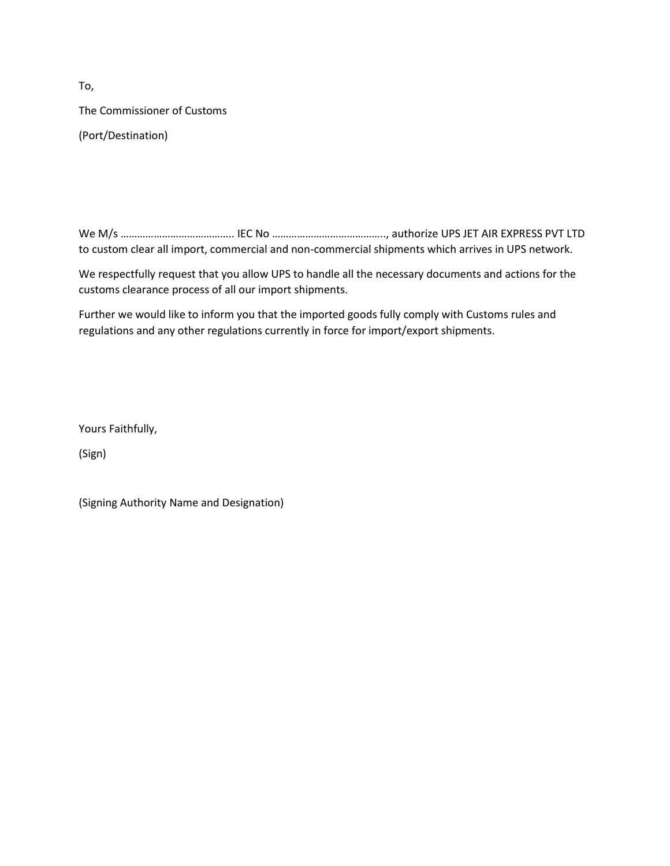To, The Commissioner of Customs (Port/Destination)

We M/s ………………………………….. IEC No ………………………………….., authorize UPS JET AIR EXPRESS PVT LTD to custom clear all import, commercial and non-commercial shipments which arrives in UPS network.

We respectfully request that you allow UPS to handle all the necessary documents and actions for the customs clearance process of all our import shipments.

Further we would like to inform you that the imported goods fully comply with Customs rules and regulations and any other regulations currently in force for import/export shipments.

Yours Faithfully,

(Sign)

(Signing Authority Name and Designation)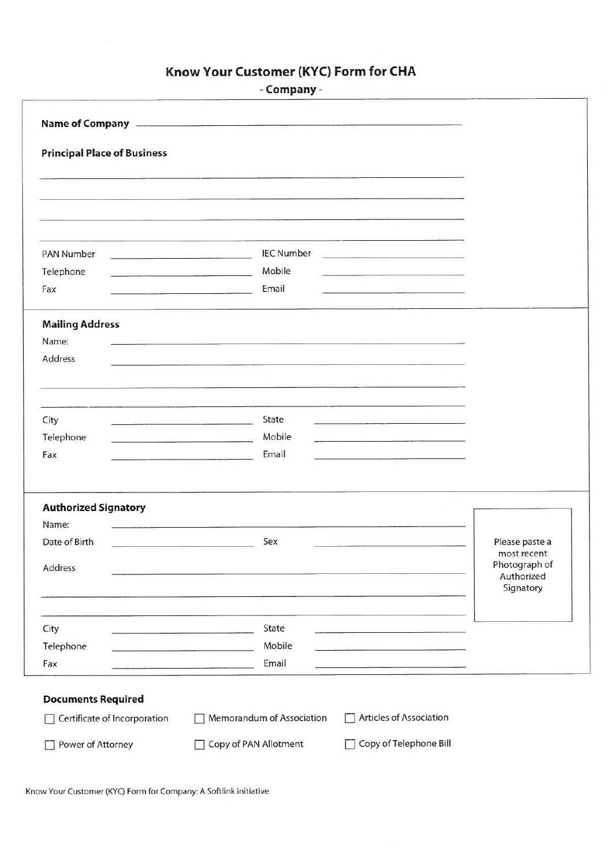## Know Your Customer (KYC) Form for CHA

|                                                                                                                                      | - Company -                                                                                                                                                                                                                             |                               |
|--------------------------------------------------------------------------------------------------------------------------------------|-----------------------------------------------------------------------------------------------------------------------------------------------------------------------------------------------------------------------------------------|-------------------------------|
|                                                                                                                                      |                                                                                                                                                                                                                                         |                               |
| <b>Principal Place of Business</b>                                                                                                   |                                                                                                                                                                                                                                         |                               |
|                                                                                                                                      |                                                                                                                                                                                                                                         |                               |
|                                                                                                                                      |                                                                                                                                                                                                                                         |                               |
| PAN Number                                                                                                                           | <b>IEC Number</b><br>and the company of the company of the company of the company of the company of the company of the company of the                                                                                                   |                               |
| Telephone<br>Fax                                                                                                                     | Mobile<br>Email                                                                                                                                                                                                                         |                               |
|                                                                                                                                      |                                                                                                                                                                                                                                         |                               |
| <b>Mailing Address</b><br>Name:                                                                                                      | of the control of the control of the control of the control of the control of the control of the control of the                                                                                                                         |                               |
| Address                                                                                                                              |                                                                                                                                                                                                                                         |                               |
|                                                                                                                                      |                                                                                                                                                                                                                                         |                               |
|                                                                                                                                      | State                                                                                                                                                                                                                                   |                               |
| City<br>the contract of the contract of the contract of the contract of the contract of the contract of the contract of<br>Telephone | Mobile<br><u> 1980 - Samuel Barbara, martin de Carl</u><br>the contract of the contract of the program and an excess the contract of the contract of                                                                                    |                               |
| Fax                                                                                                                                  | Email<br>the control of the control of the control of the control of the control of                                                                                                                                                     |                               |
| <b>Authorized Signatory</b>                                                                                                          |                                                                                                                                                                                                                                         |                               |
| Name:                                                                                                                                |                                                                                                                                                                                                                                         |                               |
| Date of Birth                                                                                                                        | Sex                                                                                                                                                                                                                                     | Please paste a<br>most recent |
| Address                                                                                                                              | the contract of the contract of the contract of the contract of the contract of the contract of the contract of                                                                                                                         | Photograph of<br>Authorized   |
|                                                                                                                                      |                                                                                                                                                                                                                                         | Signatory                     |
| City                                                                                                                                 | State                                                                                                                                                                                                                                   |                               |
| Telephone                                                                                                                            | Mobile<br>the company of the company of the company of the company of the company of the company of the company of the company of the company of the company of the company of the company of the company of the company of the company |                               |
| Fax                                                                                                                                  | Email                                                                                                                                                                                                                                   |                               |
| <b>Documents Required</b>                                                                                                            |                                                                                                                                                                                                                                         |                               |
| Certificate of Incorporation                                                                                                         | Articles of Association<br>Memorandum of Association                                                                                                                                                                                    |                               |
| Power of Attorney                                                                                                                    | Copy of Telephone Bill<br>Copy of PAN Allotment                                                                                                                                                                                         |                               |
|                                                                                                                                      |                                                                                                                                                                                                                                         |                               |

Know Your Customer (KYC) Form for Company: A Softlink initiative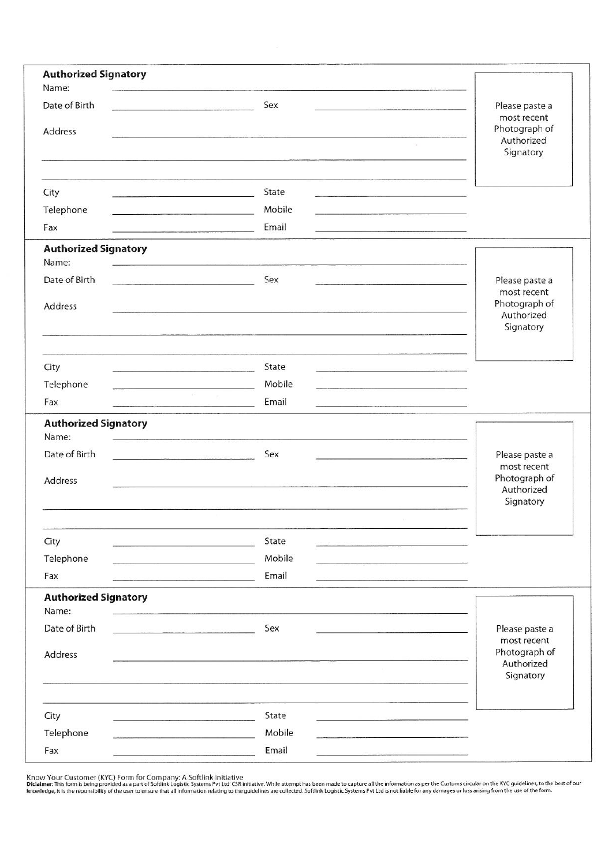| <b>Authorized Signatory</b><br>Name:                                                                                                                                                                                                        |                                                                  |                              |
|---------------------------------------------------------------------------------------------------------------------------------------------------------------------------------------------------------------------------------------------|------------------------------------------------------------------|------------------------------|
| Date of Birth                                                                                                                                                                                                                               | Sex                                                              | Please paste a               |
| Address                                                                                                                                                                                                                                     |                                                                  | most recent<br>Photograph of |
|                                                                                                                                                                                                                                             |                                                                  | Authorized<br>Signatory      |
|                                                                                                                                                                                                                                             |                                                                  |                              |
| City                                                                                                                                                                                                                                        | State                                                            |                              |
| Telephone<br>the community of the community of the community of the community of the community of the community of the community of the community of the community of the community of the community of the community of the community of t | Mobile                                                           |                              |
| Fax                                                                                                                                                                                                                                         | Email                                                            |                              |
| <b>Authorized Signatory</b><br>Name:                                                                                                                                                                                                        |                                                                  |                              |
| Date of Birth                                                                                                                                                                                                                               | Sex                                                              | Please paste a               |
| Address                                                                                                                                                                                                                                     |                                                                  | most recent<br>Photograph of |
|                                                                                                                                                                                                                                             | 이 그 사람들은 그 사람들은 그 사람들을 하고 있다. 그 사람들은 그 사람들은 그 사람들은 그 사람들을 하고 있다. | Authorized                   |
|                                                                                                                                                                                                                                             |                                                                  | Signatory                    |
|                                                                                                                                                                                                                                             |                                                                  |                              |
| City                                                                                                                                                                                                                                        | State                                                            |                              |
| Telephone<br>$\sim 10^{-10}$                                                                                                                                                                                                                | Mobile<br>$\sim 10^{-1}$<br>Email                                |                              |
| Fax                                                                                                                                                                                                                                         |                                                                  |                              |
| <b>Authorized Signatory</b><br>Name:                                                                                                                                                                                                        |                                                                  |                              |
| Date of Birth<br><u> 1990 - Amerikaan Stone, Amerikaan politika</u>                                                                                                                                                                         | Sex                                                              | Please paste a               |
|                                                                                                                                                                                                                                             |                                                                  | most recent<br>Photograph of |
| Address                                                                                                                                                                                                                                     |                                                                  | Authorized                   |
|                                                                                                                                                                                                                                             |                                                                  | Signatory                    |
|                                                                                                                                                                                                                                             |                                                                  |                              |
| City                                                                                                                                                                                                                                        | State                                                            |                              |
| Telephone                                                                                                                                                                                                                                   | Mobile                                                           |                              |
| Fax                                                                                                                                                                                                                                         | Email                                                            |                              |
| <b>Authorized Signatory</b><br>Name:                                                                                                                                                                                                        |                                                                  |                              |
| Date of Birth                                                                                                                                                                                                                               | Sex                                                              | Please paste a               |
| Address                                                                                                                                                                                                                                     |                                                                  | most recent<br>Photograph of |
|                                                                                                                                                                                                                                             |                                                                  | Authorized<br>Signatory      |
|                                                                                                                                                                                                                                             |                                                                  |                              |
| City                                                                                                                                                                                                                                        | State                                                            |                              |
| Telephone                                                                                                                                                                                                                                   | Mobile                                                           |                              |
| Fax                                                                                                                                                                                                                                         | Email                                                            |                              |
|                                                                                                                                                                                                                                             |                                                                  |                              |

Know Your Customer (KYC) Form for Company: A Softlink initiative<br>Diclaimer: This form is being provided as a part of Softlink Logistic Systems Pvt Ltd' CSR initiative. While attempt has been made to capture all the informa